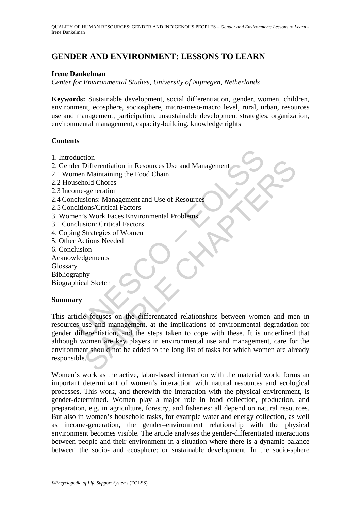# **GENDER AND ENVIRONMENT: LESSONS TO LEARN**

#### **Irene Dankelman**

*Center for Environmental Studies, University of Nijmegen, Netherlands* 

**Keywords:** Sustainable development, social differentiation, gender, women, children, environment, ecosphere, sociosphere, micro-meso-macro level, rural, urban, resources use and management, participation, unsustainable development strategies, organization, environmental management, capacity-building, knowledge rights

#### **Contents**

- 1. Introduction
- 2. Gender Differentiation in Resources Use and Management
- 2.1 Women Maintaining the Food Chain
- 2.2 Household Chores
- 2.3 Income-generation
- 2.4 Conclusions: Management and Use of Resources
- 2.5 Conditions/Critical Factors
- 3. Women's Work Faces Environmental Problems
- 3.1 Conclusion: Critical Factors
- 4. Coping Strategies of Women
- 5. Other Actions Needed
- 6. Conclusion
- Acknowledgements
- Glossary
- Bibliography

Biographical Sketch

#### **Summary**

duction<br>
er Differentiation in Resources Use and Management<br>
men Maintaining the Food Chain<br>
men Maintaining the Food Chain<br>
sushold Chores<br>
em's Work Faces Environmental Problems<br>
clusion: Critical Factors<br>
em's Work Face Formation in Resources Use and Management<br>
Differentiation in Resources Use and Management<br>
cold Chores<br>
subcold Chores<br>
subcon: Critical Factors<br>
ons/Critical Factors<br>
Subcon: Critical Factors<br>
Strategies of Women<br>
tions This article focuses on the differentiated relationships between women and men in resources use and management, at the implications of environmental degradation for gender differentiation, and the steps taken to cope with these. It is underlined that although women are key players in environmental use and management, care for the environment should not be added to the long list of tasks for which women are already responsible.

Women's work as the active, labor-based interaction with the material world forms an important determinant of women's interaction with natural resources and ecological processes. This work, and therewith the interaction with the physical environment, is gender-determined. Women play a major role in food collection, production, and preparation, e.g. in agriculture, forestry, and fisheries: all depend on natural resources. But also in women's household tasks, for example water and energy collection, as well as income-generation, the gender–environment relationship with the physical environment becomes visible. The article analyses the gender-differentiated interactions between people and their environment in a situation where there is a dynamic balance between the socio- and ecosphere: or sustainable development. In the socio-sphere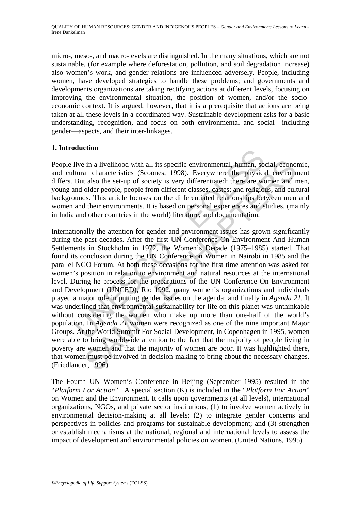micro-, meso-, and macro-levels are distinguished. In the many situations, which are not sustainable, (for example where deforestation, pollution, and soil degradation increase) also women's work, and gender relations are influenced adversely. People, including women, have developed strategies to handle these problems; and governments and developments organizations are taking rectifying actions at different levels, focusing on improving the environmental situation, the position of women, and/or the socioeconomic context. It is argued, however, that it is a prerequisite that actions are being taken at all these levels in a coordinated way. Sustainable development asks for a basic understanding, recognition, and focus on both environmental and social—including gender—aspects, and their inter-linkages.

## **1. Introduction**

People live in a livelihood with all its specific environmental, human, social, economic, and cultural characteristics (Scoones, 1998). Everywhere the physical environment differs. But also the set-up of society is very differentiated: there are women and men, young and older people, people from different classes, castes; and religious, and cultural backgrounds. This article focuses on the differentiated relationships between men and women and their environments. It is based on personal experiences and studies, (mainly in India and other countries in the world) literature, and documentation.

Itive in a livelihood with all its specific environmental, human, so<br>tural characteristics (Scoones, 1998). Everywhere the physica<br>But also the set-up of society is very differentiated: there are we<br>md older people, people is in a livelihood with all its specific environmental, human, social, econon<br>al characteristics (Scoones, 1998). Everywhere the physical environ<br>r also the set-up of society is very differentiated: there are women and<br>ol Internationally the attention for gender and environment issues has grown significantly during the past decades. After the first UN Conference On Environment And Human Settlements in Stockholm in 1972, the Women's Decade (1975–1985) started. That found its conclusion during the UN Conference on Women in Nairobi in 1985 and the parallel NGO Forum. At both these occasions for the first time attention was asked for women's position in relation to environment and natural resources at the international level. During he process for the preparations of the UN Conference On Environment and Development (UNCED), Rio 1992, many women's organizations and individuals played a major role in putting gender issues on the agenda; and finally in *Agenda 21*. It was underlined that environmental sustainability for life on this planet was unthinkable without considering the women who make up more than one-half of the world's population. In *Agenda 21* women were recognized as one of the nine important Major Groups. At the World Summit For Social Development, in Copenhagen in 1995, women were able to bring worldwide attention to the fact that the majority of people living in poverty are women and that the majority of women are poor. It was highlighted there, that women must be involved in decision-making to bring about the necessary changes. (Friedlander, 1996).

The Fourth UN Women's Conference in Beijing (September 1995) resulted in the "*Platform For Action*". A special section (K) is included in the "*Platform For Action*" on Women and the Environment. It calls upon governments (at all levels), international organizations, NGOs, and private sector institutions, (1) to involve women actively in environmental decision-making at all levels; (2) to integrate gender concerns and perspectives in policies and programs for sustainable development; and (3) strengthen or establish mechanisms at the national, regional and international levels to assess the impact of development and environmental policies on women. (United Nations, 1995).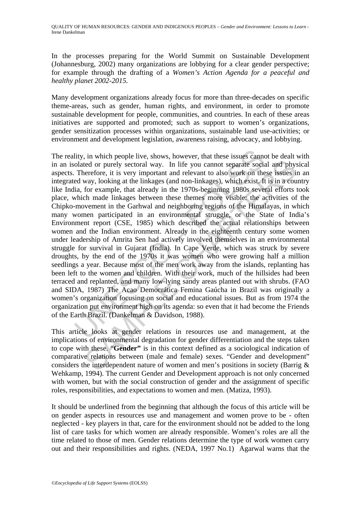In the processes preparing for the World Summit on Sustainable Development (Johannesburg, 2002) many organizations are lobbying for a clear gender perspective; for example through the drafting of a *Women's Action Agenda for a peaceful and healthy planet 2002-2015.* 

Many development organizations already focus for more than three-decades on specific theme-areas, such as gender, human rights, and environment, in order to promote sustainable development for people, communities, and countries. In each of these areas initiatives are supported and promoted; such as support to women's organizations, gender sensitization processes within organizations, sustainable land use-activities; or environment and development legislation, awareness raising, advocacy, and lobbying.

lity, in which people live, shows, however, that these issues cannolated or purely sectoral way. In life you cannot separate social Therefore, it is very important and relevant to also work on the ed way, looking at the li et do r purely sectoral way. In life you cannot separate social and physier effect or purely sectoral way. In life you cannot separate social and physier effects, it is very important and relevant to also work on these iss The reality, in which people live, shows, however, that these issues cannot be dealt with in an isolated or purely sectoral way. In life you cannot separate social and physical aspects. Therefore, it is very important and relevant to also work on these issues in an integrated way, looking at the linkages (and non-linkages), which exist. It is in a country like India, for example, that already in the 1970s-beginning 1980s several efforts took place, which made linkages between these themes more visible: the activities of the Chipko-movement in the Garhwal and neighboring regions of the Himalayas, in which many women participated in an environmental struggle, or the State of India's Environment report (CSE, 1985) which described the actual relationships between women and the Indian environment. Already in the eighteenth century some women under leadership of Amrita Sen had actively involved themselves in an environmental struggle for survival in Gujarat (India). In Cape Verde, which was struck by severe droughts, by the end of the 1970s it was women who were growing half a million seedlings a year. Because most of the men work away from the islands, replanting has been left to the women and children. With their work, much of the hillsides had been terraced and replanted, and many low-lying sandy areas planted out with shrubs. (FAO and SIDA, 1987) The Acao Democrática Femina Gaúcha in Brazil was originally a women's organization focusing on social and educational issues. But as from 1974 the organization put environment high on its agenda: so even that it had become the Friends of the Earth Brazil. (Dankelman & Davidson, 1988).

This article looks at gender relations in resources use and management, at the implications of environmental degradation for gender differentiation and the steps taken to cope with these. "**Gender"** is in this context defined as a sociological indication of comparative relations between (male and female) sexes. "Gender and development" considers the interdependent nature of women and men's positions in society (Barrig & Wehkamp, 1994). The current Gender and Development approach is not only concerned with women, but with the social construction of gender and the assignment of specific roles, responsibilities, and expectations to women and men. (Matiza, 1993).

It should be underlined from the beginning that although the focus of this article will be on gender aspects in resources use and management and women prove to be - often neglected - key players in that, care for the environment should not be added to the long list of care tasks for which women are already responsible. Women's roles are all the time related to those of men. Gender relations determine the type of work women carry out and their responsibilities and rights. (NEDA, 1997 No.1) Agarwal warns that the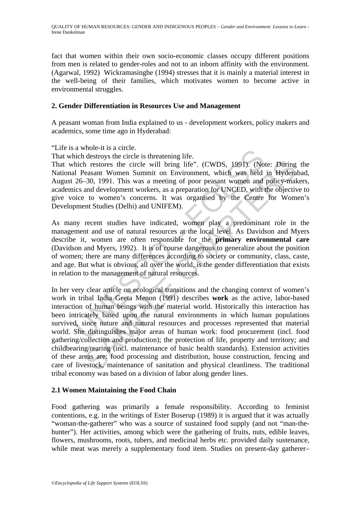fact that women within their own socio-economic classes occupy different positions from men is related to gender-roles and not to an inborn affinity with the environment. (Agarwal, 1992) Wickramasinghe (1994) stresses that it is mainly a material interest in the well-being of their families, which motivates women to become active in environmental struggles.

#### **2. Gender Differentiation in Resources Use and Management**

A peasant woman from India explained to us - development workers, policy makers and academics, some time ago in Hyderabad:

"Life is a whole-it is a circle.

That which destroys the circle is threatening life.

That which restores the circle will bring life". (CWDS, 1991). (Note: During the National Peasant Women Summit on Environment, which was held in Hyderabad, August 26–30, 1991. This was a meeting of poor peasant women and policy-makers, academics and development workers, as a preparation for UNCED, with the objective to give voice to women's concerns. It was organised by the Centre for Women's Development Studies (Delhi) and UNIFEM).

a wine-th is a chrie.<br>
and helectroys the circle is threatening life.<br>
hich restores the circle is threatening life.<br>
hich restores the circle will bring life". (CWDS, 1991). (No<br>
1 Peasant Women Summit on Environment, whi As many recent studies have indicated, women play a predominant role in the management and use of natural resources at the local level. As Davidson and Myers describe it, women are often responsible for the **primary environmental care** (Davidson and Myers, 1992). It is of course dangerous to generalize about the position of women; there are many differences according to society or community, class, caste, and age. But what is obvious, all over the world, is the gender differentiation that exists in relation to the management of natural resources.

In restores the circle will bring life". (CWDS, 1991). (Note: During<br>easant Women Summit on Environment, which was held in Hydera<br>-30, 1991. This was a meeting of poor peasant women and policy-mal<br>and development vorkers, In her very clear article on ecological transitions and the changing context of women's work in tribal India Geeta Menon (1991) describes **work** as the active, labor-based interaction of human beings with the material world. Historically this interaction has been intricately based upon the natural environments in which human populations survived, since nature and natural resources and processes represented that material world. She distinguishes major areas of human work: food procurement (incl. food gathering/collection and production); the protection of life, property and territory; and childbearing/rearing (incl. maintenance of basic health standards). Extension activities of these areas are: food processing and distribution, house construction, fencing and care of livestock, maintenance of sanitation and physical cleanliness. The traditional tribal economy was based on a division of labor along gender lines.

### **2.1 Women Maintaining the Food Chain**

Food gathering was primarily a female responsibility. According to feminist contentions, e.g. in the writings of Ester Boserup (1989) it is argued that it was actually "woman-the-gatherer" who was a source of sustained food supply (and not "man-thehunter"). Her activities, among which were the gathering of fruits, nuts, edible leaves, flowers, mushrooms, roots, tubers, and medicinal herbs etc. provided daily sustenance, while meat was merely a supplementary food item. Studies on present-day gatherer–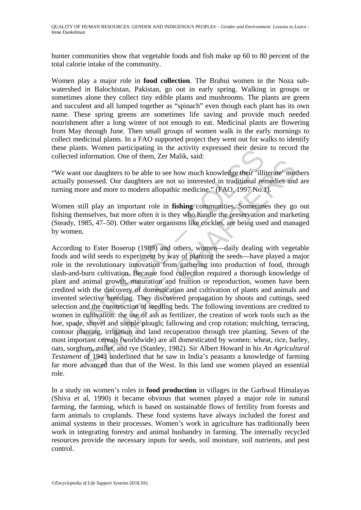hunter communities show that vegetable foods and fish make up 60 to 80 percent of the total calorie intake of the community.

Women play a major role in **food collection**. The Brahui women in the Noza subwatershed in Balochistan, Pakistan, go out in early spring. Walking in groups or sometimes alone they collect tiny edible plants and mushrooms. The plants are green and succulent and all lumped together as "spinach" even though each plant has its own name. These spring greens are sometimes life saving and provide much needed nourishment after a long winter of not enough to eat. Medicinal plants are flowering from May through June. Then small groups of women walk in the early mornings to collect medicinal plants. In a FAO supported project they went out for walks to identify these plants. Women participating in the activity expressed their desire to record the collected information. One of them, Zer Malik, said:

"We want our daughters to be able to see how much knowledge their 'illiterate' mothers actually possessed. Our daughters are not so interested in traditional remedies and are turning more and more to modern allopathic medicine." (FAO, 1997 No.1).

Women still play an important role in **fishing** communities. Sometimes they go out fishing themselves, but more often it is they who handle the preservation and marketing (Steady, 1985, 47–50). Other water organisms like cockles, are being used and managed by women.

alms. Women participating in the activity explossed then desired information. One of them, Zer Malik, said:<br>
and information. One of them, Zer Malik, said:<br>
and the conserved in traditional relations are not so interested and marginstare and solution. The same of the same of the same of the second of the sesses of Our daughters are not so interested in traditional remedies and more to modern allopathic medicine,"  $(FAO, 1997\ No.1)$ . Ill play According to Ester Boserup (1989) and others, women—daily dealing with vegetable foods and wild seeds to experiment by way of planting the seeds—have played a major role in the revolutionary innovation from gathering into production of food, through slash-and-burn cultivation. Because food collection required a thorough knowledge of plant and animal growth, maturation and fruition or reproduction, women have been credited with the discovery of domestication and cultivation of plants and animals and invented selective breeding. They discovered propagation by shoots and cuttings, seed selection and the construction of seedling beds. The following inventions are credited to women in cultivation: the use of ash as fertilizer, the creation of work tools such as the hoe, spade, shovel and simple plough; fallowing and crop rotation; mulching, terracing, contour planting, irrigation and land recuperation through tree planting. Seven of the most important cereals (worldwide) are all domesticated by women: wheat, rice, barley, oats, sorghum, millet, and rye (Stanley, 1982). Sir Albert Howard in his *An Agricultural Testament* of 1943 underlined that he saw in India's peasants a knowledge of farming far more advanced than that of the West. In this land use women played an essential role.

In a study on women's roles in **food production** in villages in the Garhwal Himalayas (Shiva et al, 1990) it became obvious that women played a major role in natural farming, the farming, which is based on sustainable flows of fertility from forests and farm animals to croplands. These food systems have always included the forest and animal systems in their processes. Women's work in agriculture has traditionally been work in integrating forestry and animal husbandry in farming. The internally recycled resources provide the necessary inputs for seeds, soil moisture, soil nutrients, and pest control.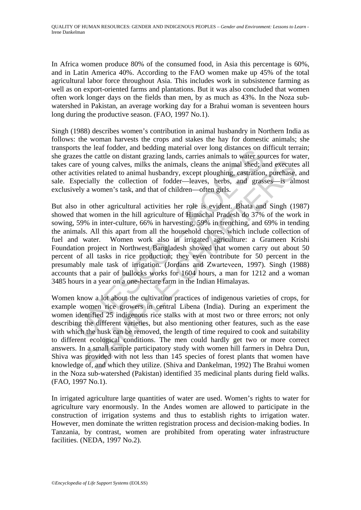In Africa women produce 80% of the consumed food, in Asia this percentage is 60%, and in Latin America 40%. According to the FAO women make up 45% of the total agricultural labor force throughout Asia. This includes work in subsistence farming as well as on export-oriented farms and plantations. But it was also concluded that women often work longer days on the fields than men, by as much as 43%. In the Noza subwatershed in Pakistan, an average working day for a Brahui woman is seventeen hours long during the productive season. (FAO, 1997 No.1).

Singh (1988) describes women's contribution in animal husbandry in Northern India as follows: the woman harvests the crops and stakes the hay for domestic animals; she transports the leaf fodder, and bedding material over long distances on difficult terrain; she grazes the cattle on distant grazing lands, carries animals to water sources for water, takes care of young calves, milks the animals, cleans the animal shed; and executes all other activities related to animal husbandry, except ploughing, castration, purchase, and sale. Especially the collection of fodder—leaves, herbs, and grasses—is almost exclusively a women's task, and that of children—often girls.

Is the lead fouch, and otealing material over long ustances on the case of example the case of young calves, milks the animals, cleans the animal shed; at it it it it is related to animal husbandry, except ploughing, castr of young calves, milks the animals, cleans the animal shed; and execute<br>tities related to animal husbandry, except ploughing, castration, purchase,<br>cially the collection of fodder—leaves, herbs, and grasses—is alr<br>a women But also in other agricultural activities her role is evident. Bhata and Singh (1987) showed that women in the hill agriculture of Himachal Pradesh do 37% of the work in sowing, 59% in inter-culture, 66% in harvesting, 59% in trenching, and 69% in tending the animals. All this apart from all the household chores, which include collection of fuel and water. Women work also in irrigated agriculture: a Grameen Krishi Foundation project in Northwest Bangladesh showed that women carry out about 50 percent of all tasks in rice production; they even contribute for 50 percent in the presumably male task of irrigation. (Jordans and Zwarteveen, 1997). Singh (1988) accounts that a pair of bullocks works for 1604 hours, a man for 1212 and a woman 3485 hours in a year on a one-hectare farm in the Indian Himalayas.

Women know a lot about the cultivation practices of indigenous varieties of crops, for example women rice growers in central Libena (India). During an experiment the women identified 25 indigenous rice stalks with at most two or three errors; not only describing the different varieties, but also mentioning other features, such as the ease with which the husk can be removed, the length of time required to cook and suitability to different ecological conditions. The men could hardly get two or more correct answers. In a small sample participatory study with women hill farmers in Dehra Dun, Shiva was provided with not less than 145 species of forest plants that women have knowledge of, and which they utilize. (Shiva and Dankelman, 1992) The Brahui women in the Noza sub-watershed (Pakistan) identified 35 medicinal plants during field walks. (FAO, 1997 No.1).

In irrigated agriculture large quantities of water are used. Women's rights to water for agriculture vary enormously. In the Andes women are allowed to participate in the construction of irrigation systems and thus to establish rights to irrigation water. However, men dominate the written registration process and decision-making bodies. In Tanzania, by contrast, women are prohibited from operating water infrastructure facilities. (NEDA, 1997 No.2).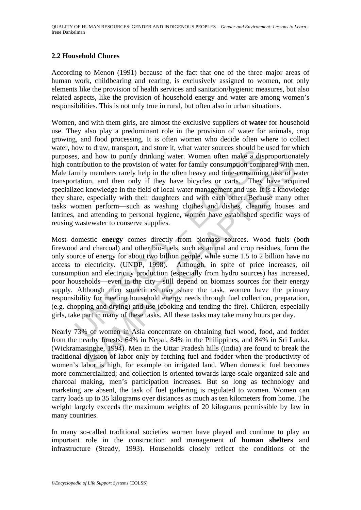### **2.2 Household Chores**

According to Menon (1991) because of the fact that one of the three major areas of human work, childbearing and rearing, is exclusively assigned to women, not only elements like the provision of health services and sanitation/hygienic measures, but also related aspects, like the provision of household energy and water are among women's responsibilities. This is not only true in rural, but often also in urban situations.

Women, and with them girls, are almost the exclusive suppliers of **water** for household use. They also play a predominant role in the provision of water for animals, crop growing, and food processing. It is often women who decide often where to collect water, how to draw, transport, and store it, what water sources should be used for which purposes, and how to purify drinking water. Women often make a disproportionately high contribution to the provision of water for family consumption compared with men. Male family members rarely help in the often heavy and time-consuming task of water transportation, and then only if they have bicycles or carts. They have acquired specialized knowledge in the field of local water management and use. It is a knowledge they share, especially with their daughters and with each other. Because many other tasks women perform—such as washing clothes and dishes, cleaning houses and latrines, and attending to personal hygiene, women have established specific ways of reusing wastewater to conserve supplies.

by weak, taasport, and soler It, wan tware solution to the way.<br>It is so that we to purify drinking water. Women often make a distribution to the provision of water for family consumption compuly members rarely help in the but in the moment of the other and the total and the fraction of when the provision of water for family consumption compared with ry members rarely help in the often heavy and time-consuming task of woon, and then only if Most domestic **energy** comes directly from biomass sources. Wood fuels (both firewood and charcoal) and other bio-fuels, such as animal and crop residues, form the only source of energy for about two billion people, while some 1.5 to 2 billion have no access to electricity. (UNDP, 1998). Although, in spite of price increases, oil consumption and electricity production (especially from hydro sources) has increased, poor households—even in the city—still depend on biomass sources for their energy supply. Although men sometimes may share the task, women have the primary responsibility for meeting household energy needs through fuel collection, preparation, (e.g. chopping and drying) and use (cooking and tending the fire). Children, especially girls, take part in many of these tasks. All these tasks may take many hours per day.

Nearly 73% of women in Asia concentrate on obtaining fuel wood, food, and fodder from the nearby forests: 64% in Nepal, 84% in the Philippines, and 84% in Sri Lanka. (Wickramasinghe, 1994). Men in the Uttar Pradesh hills (India) are found to break the traditional division of labor only by fetching fuel and fodder when the productivity of women's labor is high, for example on irrigated land. When domestic fuel becomes more commercialized; and collection is oriented towards large-scale organized sale and charcoal making, men's participation increases. But so long as technology and marketing are absent, the task of fuel gathering is regulated to women. Women can carry loads up to 35 kilograms over distances as much as ten kilometers from home. The weight largely exceeds the maximum weights of 20 kilograms permissible by law in many countries.

In many so-called traditional societies women have played and continue to play an important role in the construction and management of **human shelters** and infrastructure (Steady, 1993). Households closely reflect the conditions of the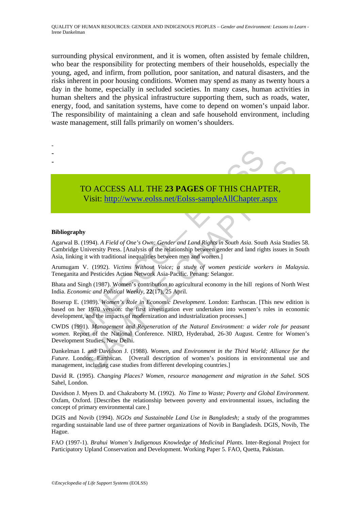surrounding physical environment, and it is women, often assisted by female children, who bear the responsibility for protecting members of their households, especially the young, aged, and infirm, from pollution, poor sanitation, and natural disasters, and the risks inherent in poor housing conditions. Women may spend as many as twenty hours a day in the home, especially in secluded societies. In many cases, human activities in human shelters and the physical infrastructure supporting them, such as roads, water, energy, food, and sanitation systems, have come to depend on women's unpaid labor. The responsibility of maintaining a clean and safe household environment, including waste management, still falls primarily on women's shoulders.

- -
- -
- 
- TO ACCESS ALL THE **23 PAGES** OF THIS CHAPTER, Visit: http://www.eolss.net/Eolss-sampleAllChapter.aspx

#### **Bibliography**

TO ACCESS ALL THE 23 PAGES OF THIS CHAP<br>Visit: http://www.eolss.net/Eolss-sampleAllChapter.a<br>phy<br>B. (1994). A Field of One's Own: Gender and Land Rights in South Asia. Sout<br>B. (1994). A Field of One's Own: Gender and Land CO ACCESS ALL THE 23 PAGES OF THIS CHAP[TER](https://www.eolss.net/ebooklib/sc_cart.aspx?File=E1-17-03-02),<br>
Visit:  $\frac{1}{2}$  Mysic:  $\frac{1}{2}$  Mysic:  $\frac{1}{2}$  Mysic:  $\frac{1}{2}$  Mysic:  $\frac{1}{2}$  Mysic:  $\frac{1}{2}$  Mysic:  $\frac{1}{2}$  Mysic:  $\frac{1}{2}$  Mysic:  $\frac{1}{2}$  Mysic:  $\frac{1}{2}$  Mysics Agarwal B. (1994). *A Field of One's Own: Gender and Land Rights in South Asia.* South Asia Studies 58. Cambridge University Press. [Analysis of the relationship between gender and land rights issues in South Asia, linking it with traditional inequalities between men and women.]

Arumugam V. (1992). *Victims Without Voice; a study of women pesticide workers in Malaysia*. Teneganita and Pesticides Action Network Asia-Pacific. Penang: Selangor.

Bhata and Singh (1987). Women's contribution to agricultural economy in the hill regions of North West India. *Economic and Political Weekly*, **22**(17), 25 April.

Boserup E. (1989). *Women's Role in Economic Development*. London: Earthscan. [This new edition is based on her 1970 version: the first investigation ever undertaken into women's roles in economic development, and the impacts of modernization and industrialization processes.]

CWDS (1991). *Management and Regeneration of the Natural Environment: a wider role for peasant women.* Report of the National Conference. NIRD, Hyderabad, 26-30 August. Centre for Women's Development Studies, New Delhi.

Dankelman I. and Davidson J. (1988). *Women, and Environment in the Third World; Alliance for the Future*. London: Earthscan. [Overall description of women's positions in environmental use and management, including case studies from different developing countries.]

David R. (1995). *Changing Places? Women, resource management and migration in the Sahel.* SOS Sahel, London.

Davidson J. Myers D. and Chakraborty M. (1992). *No Time to Waste; Poverty and Global Environment.* Oxfam, Oxford. [Describes the relationship between poverty and environmental issues, including the concept of primary environmental care.]

DGIS and Novib (1994). *NGOs and Sustainable Land Use in Bangladesh;* a study of the programmes regarding sustainable land use of three partner organizations of Novib in Bangladesh. DGIS, Novib, The Hague.

FAO (1997-1). *Brahui Women's Indigenous Knowledge of Medicinal Plants*. Inter-Regional Project for Participatory Upland Conservation and Development. Working Paper 5. FAO, Quetta, Pakistan.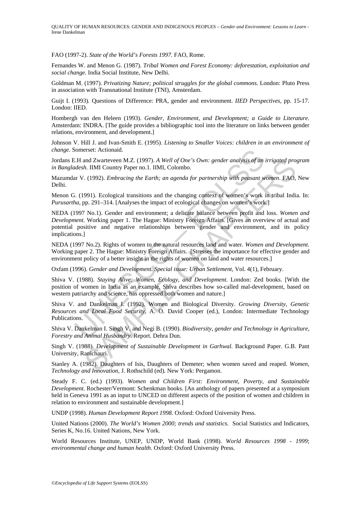QUALITY OF HUMAN RESOURCES: GENDER AND INDIGENOUS PEOPLES – *Gender and Environment: Lessons to Learn* - Irene Dankelman

FAO (1997-2). *State of the World's Forests 1997.* FAO, Rome.

Fernandes W. and Menon G. (1987). *Tribal Women and Forest Economy: deforestation, exploitation and social change.* India Social Institute, New Delhi.

Goldman M. (1997). *Privatizing Nature; political struggles for the global commons.* London: Pluto Press in association with Transnational Institute (TNI), Amsterdam.

Guijt I. (1993). Questions of Difference: PRA, gender and environment. *IIED Perspectives,* pp. 15-17. London: IIED.

Hombergh van den Heleen (1993). *Gender, Environment, and Development; a Guide to Literature*. Amsterdam: INDRA. [The guide provides a bibliographic tool into the literature on links between gender relations, environment, and development.]

Johnson V. Hill J. and Ivan-Smith E. (1995). *Listening to Smaller Voices: children in an environment of change.* Somerset: Actionaid.

Jordans E.H and Zwarteveen M.Z. (1997). *A Well of One's Own: gender analysis of an irrigated program in Bangladesh.* IIMI Country Paper no.1. IIMI, Colombo.

Mazumdar V. (1992). *Embracing the Earth; an agenda for partnership with peasant women*. FAO, New Delhi.

Menon G. (1991). Ecological transitions and the changing context of women's work in tribal India. In: *Purusartha*, pp. 291–314. [Analyses the impact of ecological changes on women's work.]

Somerset: Actionaid.<br>
E.H and Zwarteveen M.Z. (1997). A Well of One's Own: gender analysis of an *desh*. IIMI Country Paper no.1. IIMI, Colombo.<br>
I. (1991). Ecological transitions and the changing context of women's work i and Zwarteven M.Z. (1997). A Well of One's Own: gender analysis of an irrigated pro,<br>
h. IMI Country Paper no.1. IMI, Colonbo.<br>
1. (1992). *Embracing the Earth*; an agenda for partnership with peasant women. FAO,<br>
(1992). NEDA (1997 No.1). Gender and environment; a delicate balance between profit and loss. *Women and Development.* Working paper 1. The Hague: Ministry Foreign Affairs. [Gives an overview of actual and potential positive and negative relationships between gender and environment, and its policy implications.]

NEDA (1997 No.2). Rights of women to the natural resources land and water*. Women and Development.*  Working paper 2. The Hague: Ministry Foreign Affairs. [Stresses the importance for effective gender and environment policy of a better insight in the rights of women on land and water resources.]

Oxfam (1996). *Gender and Development. Special issue: Urban Settlement,* Vol. 4(1), February.

Shiva V. (1988). *Staying Alive: Women, Ecology, and Development*. London: Zed books. [With the position of women in India as an example, Shiva describes how so-called mal-development, based on western patriarchy and science, has oppressed both women and nature.]

Shiva V. and Dankelman I. (1992). Women and Biological Diversity. *Growing Diversity, Genetic Resources and Local Food Security,* A. O. David Cooper (ed.), London: Intermediate Technology Publications.

Shiva V. Dankelman I. Singh V. and Negi B. (1990). *Biodiversity, gender and Technology in Agriculture, Forestry and Animal Husbandry.* Report. Dehra Dun.

Singh V. (1988). *Development of Sustainable Development in Garhwal.* Background Paper. G.B. Pant University, Ranichauri.

Stanley A. (1982). Daughters of Isis, Daughters of Demeter; when women saved and reaped. *Women, Technology and Innovation,* J. Rothschild (ed)*.* New York: Pergamon.

Steady F. C. (ed.) (1993). *Women and Children First: Environment, Poverty, and Sustainable Development.* Rochester/Vermont: Schenkman books. [An anthology of papers presented at a symposium held in Geneva 1991 as an input to UNCED on different aspects of the position of women and children in relation to environment and sustainable development.]

UNDP (1998). *Human Development Report 1998.* Oxford: Oxford University Press.

United Nations (2000). *The World's Women 2000; trends and statistics.* Social Statistics and Indicators, Series K, No.16. United Nations, New York.

World Resources Institute, UNEP, UNDP, World Bank (1998). *World Resources 1998 - 1999*; *environmental change and human health*. Oxford: Oxford University Press.